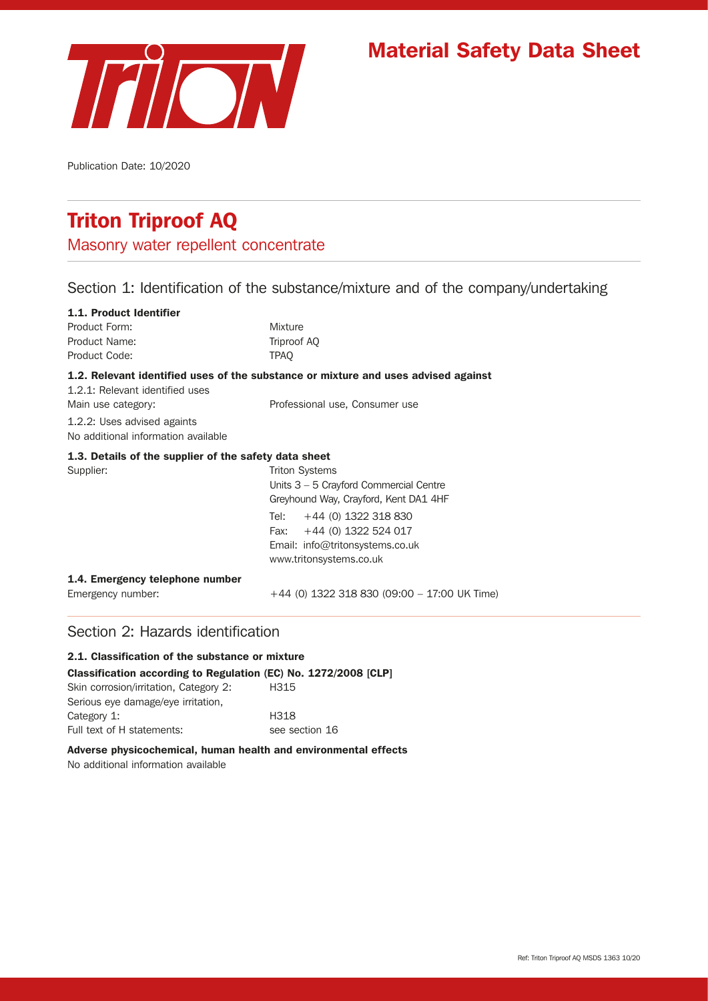

# Material Safety Data Sheet

Publication Date: 10/2020

# Triton Triproof AQ

Masonry water repellent concentrate

### Section 1: Identification of the substance/mixture and of the company/undertaking

| 1.1. Product Identifier                                            |                                                                                    |
|--------------------------------------------------------------------|------------------------------------------------------------------------------------|
| Product Form:                                                      | <b>Mixture</b>                                                                     |
| Product Name:                                                      | Triproof AQ                                                                        |
| Product Code:                                                      | <b>TPAO</b>                                                                        |
| 1.2.1: Relevant identified uses                                    | 1.2. Relevant identified uses of the substance or mixture and uses advised against |
| Main use category:                                                 | Professional use, Consumer use                                                     |
| 1.2.2: Uses advised againts<br>No additional information available |                                                                                    |
| 1.3. Details of the supplier of the safety data sheet              |                                                                                    |
| Supplier:                                                          | <b>Triton Systems</b>                                                              |
|                                                                    | Units 3 - 5 Crayford Commercial Centre                                             |
|                                                                    | Greyhound Way, Crayford, Kent DA1 4HF                                              |
|                                                                    | Tel: $+44$ (0) 1322 318 830                                                        |
|                                                                    | Fax: $+44$ (0) 1322 524 017                                                        |
|                                                                    | Email: info@tritonsystems.co.uk                                                    |
|                                                                    | www.tritonsystems.co.uk                                                            |
| 1.4. Emergency telephone number                                    |                                                                                    |
| Emergency number:                                                  | $+44$ (0) 1322 318 830 (09:00 - 17:00 UK Time)                                     |

### Section 2: Hazards identification

### 2.1. Classification of the substance or mixture

Classification according to Regulation (EC) No. 1272/2008 [CLP]

| Skin corrosion/irritation, Category 2: | H <sub>315</sub> |
|----------------------------------------|------------------|
| Serious eye damage/eye irritation,     |                  |
| Category 1:                            | H318             |
| Full text of H statements:             | see section 16   |

#### Adverse physicochemical, human health and environmental effects

No additional information available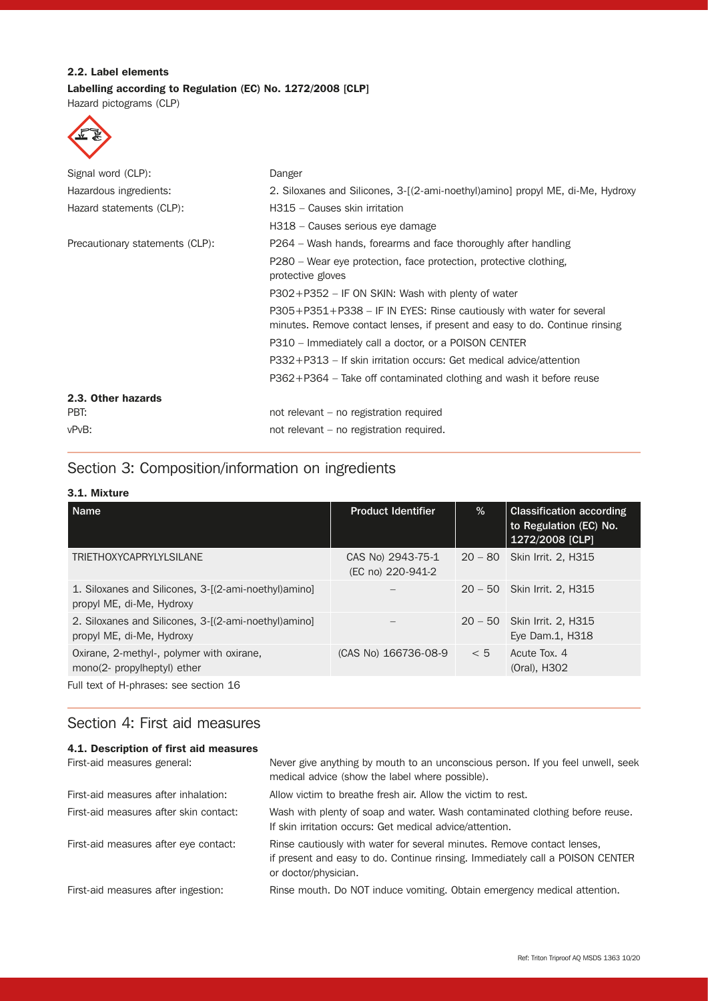### 2.2. Label elements Labelling according to Regulation (EC) No. 1272/2008 [CLP]

Hazard pictograms (CLP)



| Signal word (CLP):              | Danger                                                                                                                                              |
|---------------------------------|-----------------------------------------------------------------------------------------------------------------------------------------------------|
| Hazardous ingredients:          | 2. Siloxanes and Silicones, 3-[(2-ami-noethyl)amino] propyl ME, di-Me, Hydroxy                                                                      |
| Hazard statements (CLP):        | H315 - Causes skin irritation                                                                                                                       |
|                                 | H318 - Causes serious eye damage                                                                                                                    |
| Precautionary statements (CLP): | P264 – Wash hands, forearms and face thoroughly after handling                                                                                      |
|                                 | P280 – Wear eye protection, face protection, protective clothing,<br>protective gloves                                                              |
|                                 | $P302 + P352 - IF ON SKIN: Wash with plenty of water$                                                                                               |
|                                 | P305+P351+P338 – IF IN EYES: Rinse cautiously with water for several<br>minutes. Remove contact lenses, if present and easy to do. Continue rinsing |
|                                 | P310 – Immediately call a doctor, or a POISON CENTER                                                                                                |
|                                 | P332+P313 – If skin irritation occurs: Get medical advice/attention                                                                                 |
|                                 | $P362 + P364$ – Take off contaminated clothing and wash it before reuse                                                                             |
| 2.3. Other hazards              |                                                                                                                                                     |
| PBT:                            | not relevant – no registration required                                                                                                             |
| vPvB:                           | not relevant – no registration required.                                                                                                            |

## Section 3: Composition/information on ingredients

### 3.1. Mixture

| <b>Name</b>                                                                        | <b>Product Identifier</b>              | %         | <b>Classification according</b><br>to Regulation (EC) No.<br>1272/2008 [CLP] |
|------------------------------------------------------------------------------------|----------------------------------------|-----------|------------------------------------------------------------------------------|
| <b>TRIETHOXYCAPRYLYLSILANE</b>                                                     | CAS No) 2943-75-1<br>(EC no) 220-941-2 |           | 20 - 80 Skin Irrit. 2, H315                                                  |
| 1. Siloxanes and Silicones, 3-[(2-ami-noethyl) amino]<br>propyl ME, di-Me, Hydroxy |                                        | $20 - 50$ | <b>Skin Irrit. 2, H315</b>                                                   |
| 2. Siloxanes and Silicones, 3-[(2-ami-noethyl) amino]<br>propyl ME, di-Me, Hydroxy |                                        |           | 20 - 50 Skin Irrit. 2, H315<br>Eye Dam.1, H318                               |
| Oxirane, 2-methyl-, polymer with oxirane,<br>mono(2- propylheptyl) ether           | (CAS No) 166736-08-9                   | < 5       | Acute Tox, 4<br>(Oral), H302                                                 |
| Full text of H-phrases: see section 16                                             |                                        |           |                                                                              |

### Section 4: First aid measures

| 4.1. Description of first aid measures |                                                                                                                                                                                  |
|----------------------------------------|----------------------------------------------------------------------------------------------------------------------------------------------------------------------------------|
| First-aid measures general:            | Never give anything by mouth to an unconscious person. If you feel unwell, seek<br>medical advice (show the label where possible).                                               |
| First-aid measures after inhalation:   | Allow victim to breathe fresh air. Allow the victim to rest.                                                                                                                     |
| First-aid measures after skin contact: | Wash with plenty of soap and water. Wash contaminated clothing before reuse.<br>If skin irritation occurs: Get medical advice/attention.                                         |
| First-aid measures after eye contact:  | Rinse cautiously with water for several minutes. Remove contact lenses,<br>if present and easy to do. Continue rinsing. Immediately call a POISON CENTER<br>or doctor/physician. |
| First-aid measures after ingestion:    | Rinse mouth. Do NOT induce vomiting. Obtain emergency medical attention.                                                                                                         |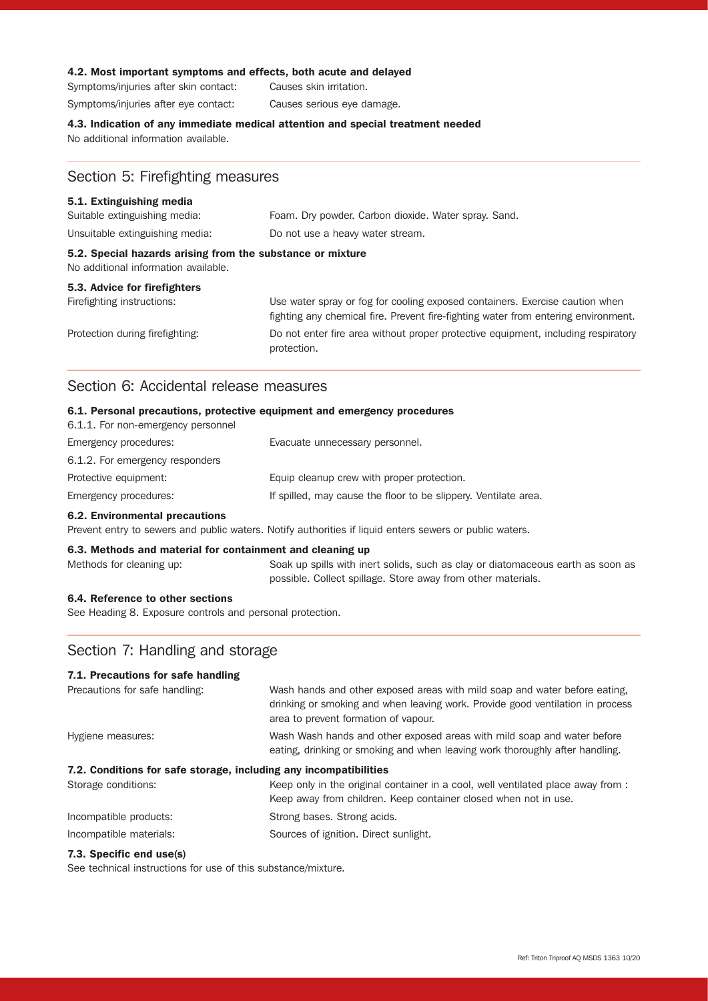#### 4.2. Most important symptoms and effects, both acute and delayed

Symptoms/injuries after skin contact: Causes skin irritation. Symptoms/injuries after eye contact: Causes serious eye damage.

#### 4.3. Indication of any immediate medical attention and special treatment needed

No additional information available.

### Section 5: Firefighting measures

#### 5.1. Extinguishing media

| No additional information available.                       |                                                      |  |
|------------------------------------------------------------|------------------------------------------------------|--|
| 5.2. Special hazards arising from the substance or mixture |                                                      |  |
| Unsuitable extinguishing media:                            | Do not use a heavy water stream.                     |  |
| Suitable extinguishing media:                              | Foam. Dry powder. Carbon dioxide. Water spray. Sand. |  |

#### 5.3. Advice for firefighters

Firefighting instructions: Use water spray or fog for cooling exposed containers. Exercise caution when fighting any chemical fire. Prevent fire-fighting water from entering environment. Protection during firefighting: Do not enter fire area without proper protective equipment, including respiratory protection.

### Section 6: Accidental release measures

#### 6.1. Personal precautions, protective equipment and emergency procedures

| 6.1.1. For non-emergency personnel |                                                                 |
|------------------------------------|-----------------------------------------------------------------|
| Emergency procedures:              | Evacuate unnecessary personnel.                                 |
| 6.1.2. For emergency responders    |                                                                 |
| Protective equipment:              | Equip cleanup crew with proper protection.                      |
| Emergency procedures:              | If spilled, may cause the floor to be slippery. Ventilate area. |

#### 6.2. Environmental precautions

Prevent entry to sewers and public waters. Notify authorities if liquid enters sewers or public waters.

#### 6.3. Methods and material for containment and cleaning up

Methods for cleaning up: Soak up spills with inert solids, such as clay or diatomaceous earth as soon as possible. Collect spillage. Store away from other materials.

#### 6.4. Reference to other sections

See Heading 8. Exposure controls and personal protection.

### Section 7: Handling and storage

#### 7.1. Precautions for safe handling

| Precautions for safe handling:                                    | Wash hands and other exposed areas with mild soap and water before eating,       |
|-------------------------------------------------------------------|----------------------------------------------------------------------------------|
|                                                                   | drinking or smoking and when leaving work. Provide good ventilation in process   |
|                                                                   | area to prevent formation of vapour.                                             |
| Hygiene measures:                                                 | Wash Wash hands and other exposed areas with mild soap and water before          |
|                                                                   | eating, drinking or smoking and when leaving work thoroughly after handling.     |
| 7.2. Conditions for safe storage, including any incompatibilities |                                                                                  |
| Storage conditions:                                               | Keep only in the original container in a cool, well ventilated place away from : |
|                                                                   | Keep away from children. Keep container closed when not in use.                  |
| Incompatible products:                                            | Strong bases. Strong acids.                                                      |
| Incompatible materials:                                           | Sources of ignition. Direct sunlight.                                            |
| 7.3. Specific end use(s)                                          |                                                                                  |

#### See technical instructions for use of this substance/mixture.

Ref: Triton Triproof AQ MSDS 1363 10/20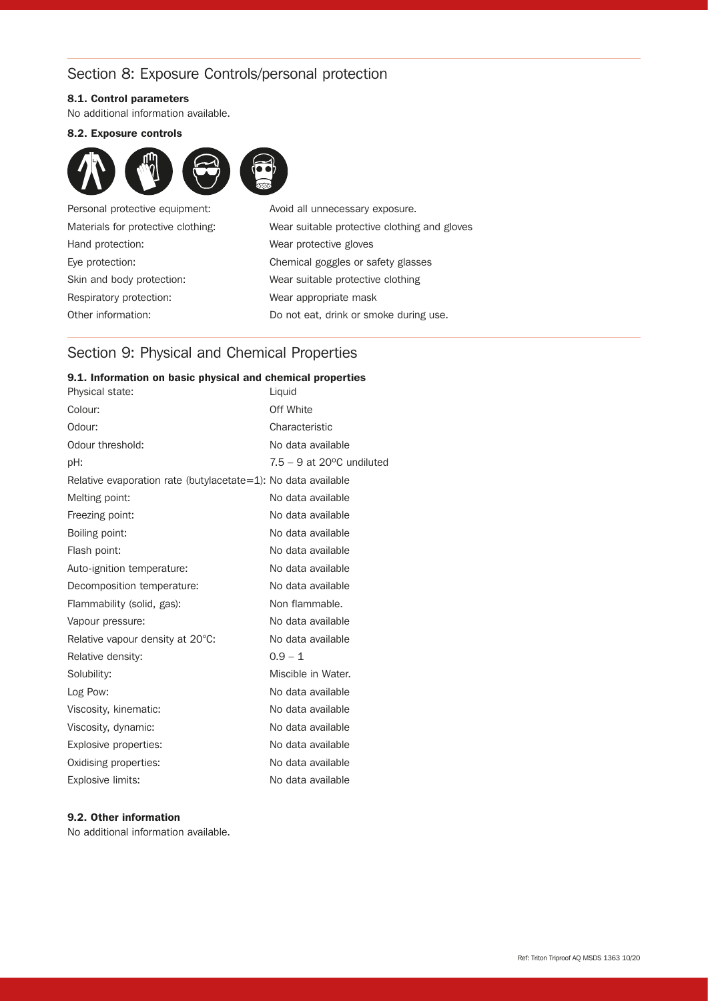### Section 8: Exposure Controls/personal protection

#### 8.1. Control parameters

No additional information available.

#### 8.2. Exposure controls



Hand protection: Wear protective gloves Respiratory protection: Wear appropriate mask Other information: Do not eat, drink or smoke during use.

Personal protective equipment: Avoid all unnecessary exposure. Materials for protective clothing: Wear suitable protective clothing and gloves Eye protection: Chemical goggles or safety glasses Skin and body protection: Wear suitable protective clothing

### Section 9: Physical and Chemical Properties

#### 9.1. Information on basic physical and chemical properties

| Physical state:                                               | Liquid                                |
|---------------------------------------------------------------|---------------------------------------|
| Colour:                                                       | Off White                             |
| Odour:                                                        | Characteristic                        |
| Odour threshold:                                              | No data available                     |
| pH:                                                           | $7.5 - 9$ at 20 $\degree$ C undiluted |
| Relative evaporation rate (butylacetate=1): No data available |                                       |
| Melting point:                                                | No data available                     |
| Freezing point:                                               | No data available                     |
| Boiling point:                                                | No data available                     |
| Flash point:                                                  | No data available                     |
| Auto-ignition temperature:                                    | No data available                     |
| Decomposition temperature:                                    | No data available                     |
| Flammability (solid, gas):                                    | Non flammable.                        |
| Vapour pressure:                                              | No data available                     |
| Relative vapour density at 20°C:                              | No data available                     |
| Relative density:                                             | $0.9 - 1$                             |
| Solubility:                                                   | Miscible in Water.                    |
| Log Pow:                                                      | No data available                     |
| Viscosity, kinematic:                                         | No data available                     |
| Viscosity, dynamic:                                           | No data available                     |
| Explosive properties:                                         | No data available                     |
| Oxidising properties:                                         | No data available                     |
| Explosive limits:                                             | No data available                     |
|                                                               |                                       |

#### 9.2. Other information

No additional information available.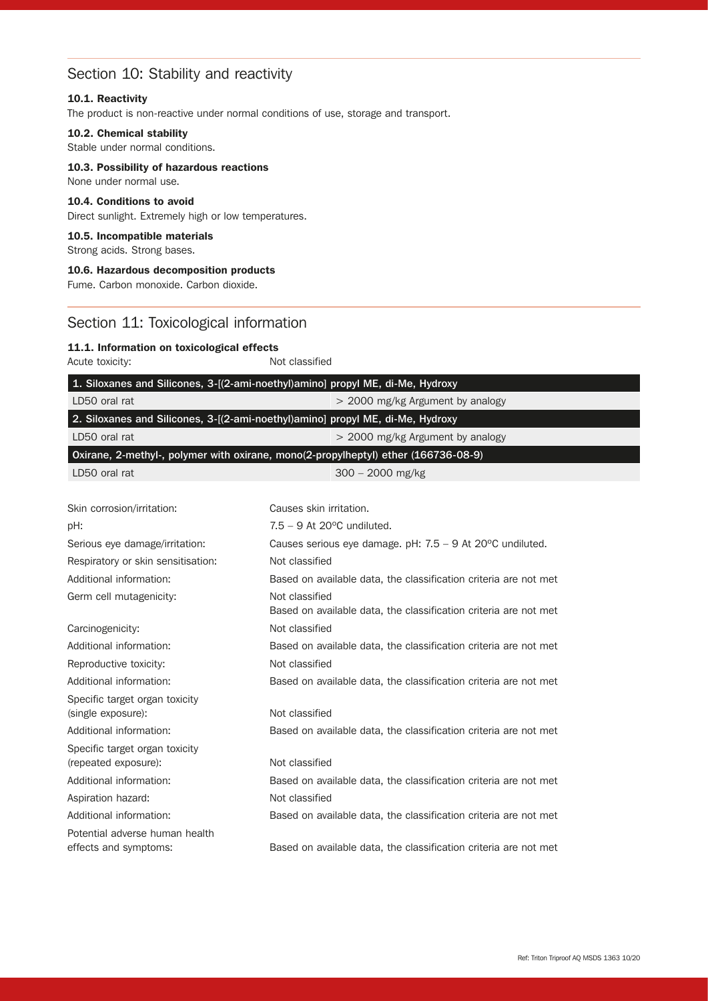### Section 10: Stability and reactivity

#### 10.1. Reactivity

The product is non-reactive under normal conditions of use, storage and transport.

#### 10.2. Chemical stability

Stable under normal conditions.

#### 10.3. Possibility of hazardous reactions

### 10.4. Conditions to avoid

None under normal use.

Direct sunlight. Extremely high or low temperatures.

#### 10.5. Incompatible materials

Strong acids. Strong bases.

#### 10.6. Hazardous decomposition products

Fume. Carbon monoxide. Carbon dioxide.

### Section 11: Toxicological information

#### 11.1. Information on toxicological effects

Acute toxicity: Not classified

|                                    | 1. Siloxanes and Silicones, 3-[(2-ami-noethyl)amino] propyl ME, di-Me, Hydroxy     |
|------------------------------------|------------------------------------------------------------------------------------|
| LD50 oral rat                      | > 2000 mg/kg Argument by analogy                                                   |
|                                    | 2. Siloxanes and Silicones, 3-[(2-ami-noethyl)amino] propyl ME, di-Me, Hydroxy     |
| LD50 oral rat                      |                                                                                    |
|                                    | > 2000 mg/kg Argument by analogy                                                   |
|                                    | Oxirane, 2-methyl-, polymer with oxirane, mono(2-propylheptyl) ether (166736-08-9) |
| LD50 oral rat                      | $300 - 2000$ mg/kg                                                                 |
| Skin corrosion/irritation:         | Causes skin irritation.                                                            |
| pH:                                | $7.5 - 9$ At 20 $\degree$ C undiluted.                                             |
| Serious eye damage/irritation:     | Causes serious eye damage. pH: 7.5 - 9 At 20°C undiluted.                          |
| Respiratory or skin sensitisation: | Not classified                                                                     |
| Additional information:            | Based on available data, the classification criteria are not met                   |
| Germ cell mutagenicity:            | Not classified                                                                     |
|                                    | Based on available data, the classification criteria are not met                   |
| Carcinogenicity:                   | Not classified                                                                     |
| Additional information:            | Based on available data, the classification criteria are not met                   |
| Reproductive toxicity:             | Not classified                                                                     |
| Additional information:            | Based on available data, the classification criteria are not met                   |
| Specific target organ toxicity     |                                                                                    |
| (single exposure):                 | Not classified                                                                     |
| Additional information:            | Based on available data, the classification criteria are not met                   |
| Specific target organ toxicity     |                                                                                    |
| (repeated exposure):               | Not classified                                                                     |
| Additional information:            | Based on available data, the classification criteria are not met                   |
| Aspiration hazard:                 | Not classified                                                                     |
| Additional information:            | Based on available data, the classification criteria are not met                   |
| Potential adverse human health     |                                                                                    |
| effects and symptoms:              | Based on available data, the classification criteria are not met                   |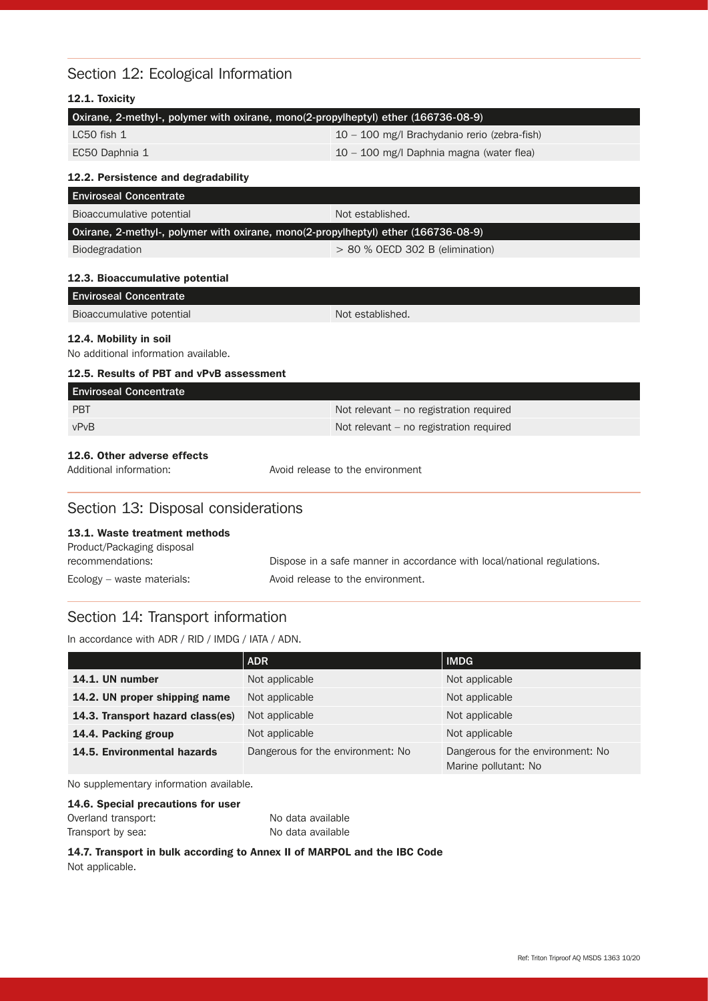### Section 12: Ecological Information

| 12.1. Toxicity                                                                     |                                              |
|------------------------------------------------------------------------------------|----------------------------------------------|
| Oxirane, 2-methyl-, polymer with oxirane, mono(2-propylheptyl) ether (166736-08-9) |                                              |
| $LC50$ fish $1$                                                                    | 10 - 100 mg/l Brachydanio rerio (zebra-fish) |
| EC50 Daphnia 1                                                                     | 10 - 100 mg/l Daphnia magna (water flea)     |
| 12.2. Persistence and degradability                                                |                                              |
| <b>Enviroseal Concentrate</b>                                                      |                                              |
| Bioaccumulative potential                                                          | Not established.                             |
| Oxirane, 2-methyl-, polymer with oxirane, mono(2-propylheptyl) ether (166736-08-9) |                                              |
| Biodegradation                                                                     | $> 80$ % OECD 302 B (elimination)            |
| 12.3. Bioaccumulative potential                                                    |                                              |
| <b>Enviroseal Concentrate</b>                                                      |                                              |
| Bioaccumulative potential                                                          | Not established.                             |
| 12.4. Mobility in soil<br>No additional information available.                     |                                              |
| 12.5. Results of PBT and vPvB assessment                                           |                                              |
| <b>Enviroseal Concentrate</b>                                                      |                                              |
| <b>PBT</b>                                                                         | Not relevant – no registration required      |
| vPvB                                                                               | Not relevant – no registration required      |
| 12.6. Other adverse effects                                                        |                                              |

Section 13: Disposal considerations

Additional information: Avoid release to the environment

### 13.1. Waste treatment methods

| Product/Packaging disposal |                                                                         |
|----------------------------|-------------------------------------------------------------------------|
| recommendations:           | Dispose in a safe manner in accordance with local/national regulations. |
| Ecology – waste materials: | Avoid release to the environment.                                       |

## Section 14: Transport information

In accordance with ADR / RID / IMDG / IATA / ADN.

|                                  | <b>ADR</b>                        | <b>IMDG</b>                                               |
|----------------------------------|-----------------------------------|-----------------------------------------------------------|
| 14.1. UN number                  | Not applicable                    | Not applicable                                            |
| 14.2. UN proper shipping name    | Not applicable                    | Not applicable                                            |
| 14.3. Transport hazard class(es) | Not applicable                    | Not applicable                                            |
| 14.4. Packing group              | Not applicable                    | Not applicable                                            |
| 14.5. Environmental hazards      | Dangerous for the environment: No | Dangerous for the environment: No<br>Marine pollutant: No |

No supplementary information available.

#### 14.6. Special precautions for user

| Overland transport: | No data available |
|---------------------|-------------------|
| Transport by sea:   | No data available |

14.7. Transport in bulk according to Annex II of MARPOL and the IBC Code Not applicable.